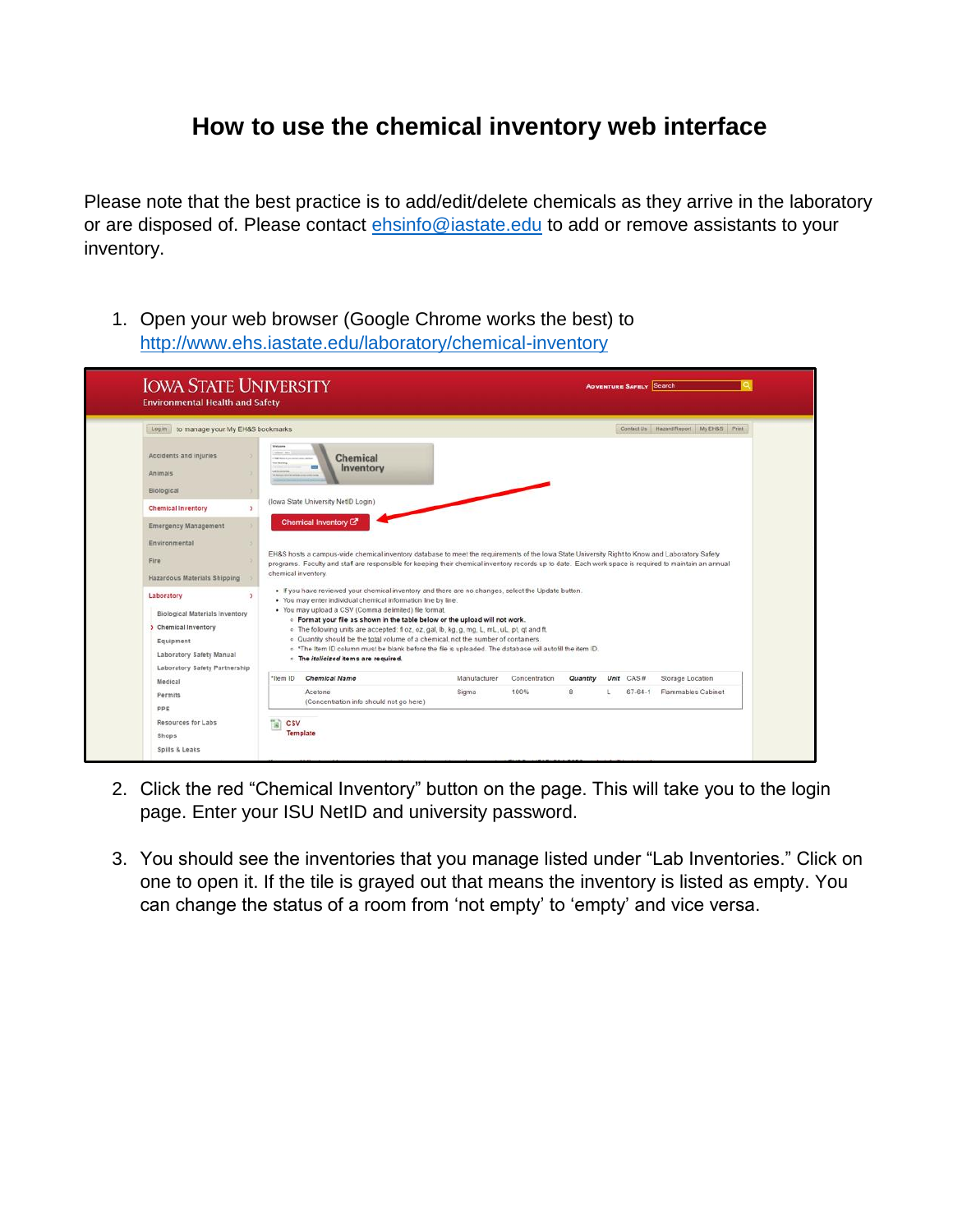## **How to use the chemical inventory web interface**

Please note that the best practice is to add/edit/delete chemicals as they arrive in the laboratory or are disposed of. Please contact [ehsinfo@iastate.edu](mailto:ehsinfo@iastate.edu) to add or remove assistants to your inventory.

1. Open your web browser (Google Chrome works the best) to <http://www.ehs.iastate.edu/laboratory/chemical-inventory>

| Log in to manage your My EH&S bookmarks                                                                      |                                                                                                                                                                                                                                                                                                                                                                                                                                                                                                                                                                 |              |               |          |           | Contact Us Hazard Report My EH&S Print |
|--------------------------------------------------------------------------------------------------------------|-----------------------------------------------------------------------------------------------------------------------------------------------------------------------------------------------------------------------------------------------------------------------------------------------------------------------------------------------------------------------------------------------------------------------------------------------------------------------------------------------------------------------------------------------------------------|--------------|---------------|----------|-----------|----------------------------------------|
| Accidents and injuries<br>Animals<br>Biological                                                              | <b>Welcome</b><br>tainer, no<br><b>Chemical</b><br><b>Too Rotation</b><br>Inventory<br>$\equiv$<br>ai levelaria<br>(lowa State University NetID Login)                                                                                                                                                                                                                                                                                                                                                                                                          |              |               |          |           |                                        |
| <b>Chemical Inventory</b>                                                                                    |                                                                                                                                                                                                                                                                                                                                                                                                                                                                                                                                                                 |              |               |          |           |                                        |
| <b>Emergency Management</b>                                                                                  | Chemical Inventory <sup>[7]</sup>                                                                                                                                                                                                                                                                                                                                                                                                                                                                                                                               |              |               |          |           |                                        |
| Environmental<br>Fire<br>Hazardous Materials Shipping<br>Laboratory<br><b>Biological Materials Inventory</b> | EH&S hosts a campus-wide chemical inventory database to meet the requirements of the lowa State University Right to Know and Laboratory Safety<br>programs. Faculty and staff are responsible for keeping their chemical inventory records up to date. Each work space is required to maintain an annual<br>chemical inventory.<br>. If you have reviewed your chemical inventory and there are no changes, select the Update button.<br>. You may enter individual chemical information line by line.<br>. You may upload a CSV (Comma delimited) file format. |              |               |          |           |                                        |
| > Chemical Inventory                                                                                         | . Format your file as shown in the table below or the upload will not work.                                                                                                                                                                                                                                                                                                                                                                                                                                                                                     |              |               |          |           |                                        |
| Equipment<br>Laboratory Safety Manual<br>Laboratory Safety Partnership                                       | o The following units are accepted: fl oz, oz, gal, lb, kg, g, mg, L, mL, uL, pt, qt and ft.<br>o Quantity should be the total volume of a chemical, not the number of containers.<br>o *The Item ID column must be blank before the file is uploaded. The database will autofill the item ID.<br>o The italicized items are required.                                                                                                                                                                                                                          |              |               |          |           |                                        |
| Medical                                                                                                      | <b>Chemical Name</b><br>"Item ID                                                                                                                                                                                                                                                                                                                                                                                                                                                                                                                                | Manufacturer | Concentration | Quantity | Unit CAS# | Storage Location                       |
| Permits                                                                                                      | Acetone<br>(Concentration info should not go here)                                                                                                                                                                                                                                                                                                                                                                                                                                                                                                              | Sigma        | 100%          | 8        | 67-64-1   | <b>Flammables Cabinet</b>              |

- 2. Click the red "Chemical Inventory" button on the page. This will take you to the login page. Enter your ISU NetID and university password.
- 3. You should see the inventories that you manage listed under "Lab Inventories." Click on one to open it. If the tile is grayed out that means the inventory is listed as empty. You can change the status of a room from 'not empty' to 'empty' and vice versa.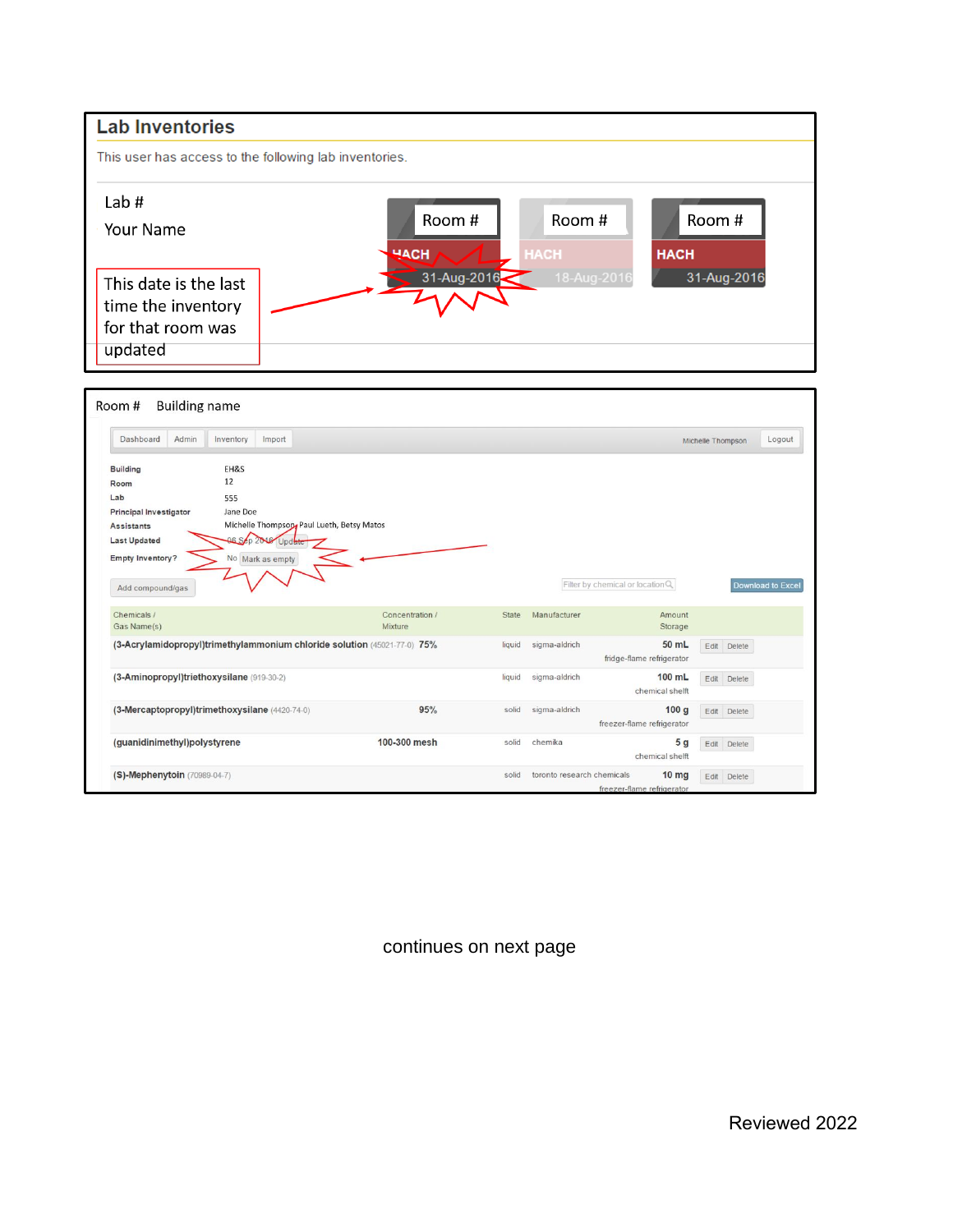

continues on next page

Reviewed 2022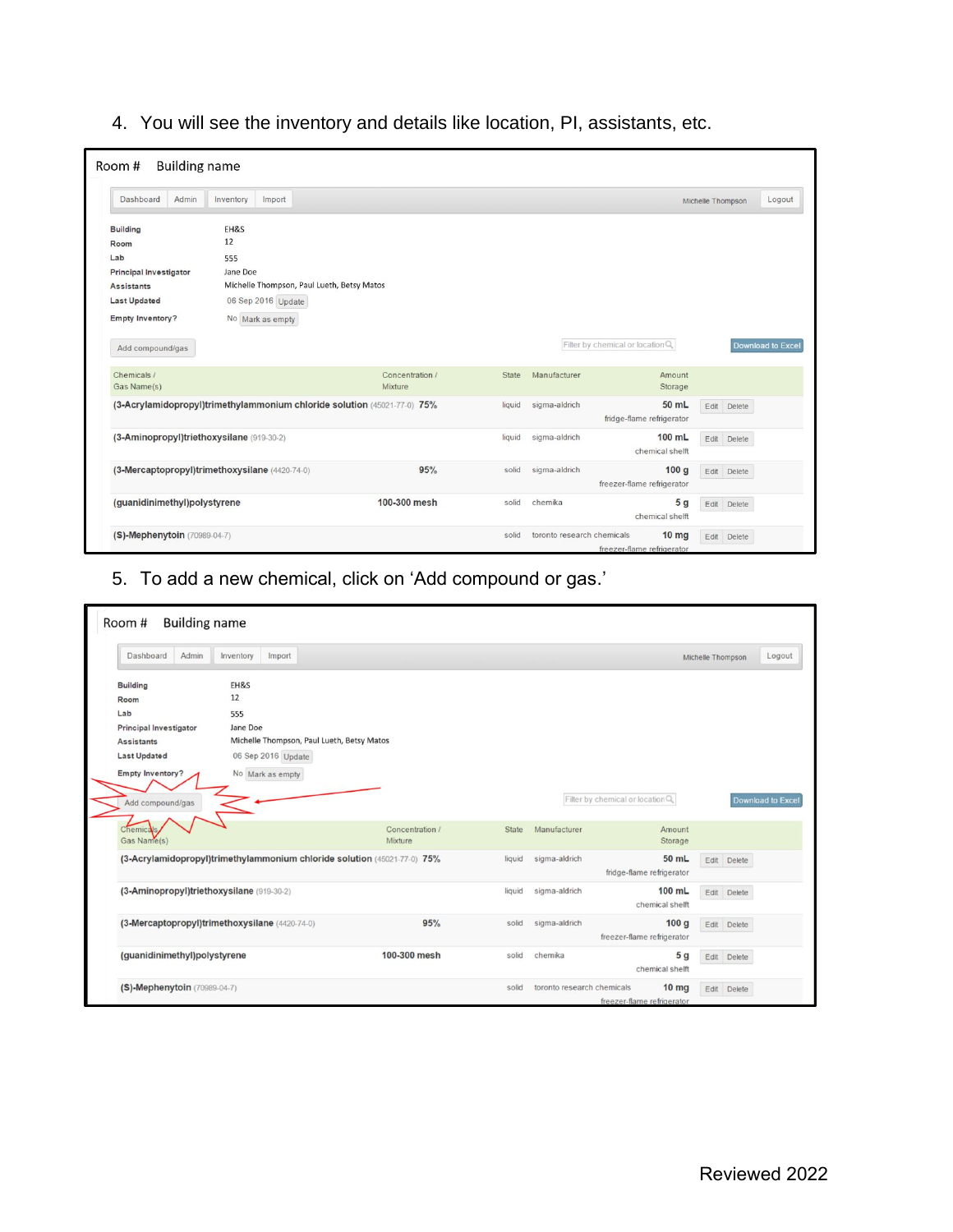4. You will see the inventory and details like location, PI, assistants, etc.

| Admin<br>Dashboard                             | Inventory        | Import             |                                                                          |        |               |                                  | Michelle Thompson | Logout                   |
|------------------------------------------------|------------------|--------------------|--------------------------------------------------------------------------|--------|---------------|----------------------------------|-------------------|--------------------------|
|                                                |                  |                    |                                                                          |        |               |                                  |                   |                          |
| <b>Building</b>                                | EH&S             |                    |                                                                          |        |               |                                  |                   |                          |
| Room                                           | 12               |                    |                                                                          |        |               |                                  |                   |                          |
| Lab                                            | 555              |                    |                                                                          |        |               |                                  |                   |                          |
| <b>Principal Investigator</b>                  | Jane Doe         |                    |                                                                          |        |               |                                  |                   |                          |
| <b>Assistants</b>                              |                  |                    | Michelle Thompson, Paul Lueth, Betsy Matos                               |        |               |                                  |                   |                          |
| <b>Last Updated</b>                            |                  | 06 Sep 2016 Update |                                                                          |        |               |                                  |                   |                          |
| <b>Empty Inventory?</b>                        | No Mark as empty |                    |                                                                          |        |               |                                  |                   |                          |
|                                                |                  |                    |                                                                          |        |               |                                  |                   |                          |
| Add compound/gas                               |                  |                    |                                                                          |        |               | Filter by chemical or location Q |                   | <b>Download to Excel</b> |
| Chemicals /                                    |                  |                    | Concentration /                                                          | State  | Manufacturer  | Amount                           |                   |                          |
| Gas Name(s)                                    |                  |                    | Mixture                                                                  |        |               | Storage                          |                   |                          |
|                                                |                  |                    | (3-Acrylamidopropyl)trimethylammonium chloride solution (45021-77-0) 75% | liquid | sigma-aldrich | 50 mL                            | Edit Delete       |                          |
|                                                |                  |                    |                                                                          |        |               | fridge-flame refrigerator        |                   |                          |
| (3-Aminopropyl)triethoxysilane (919-30-2)      |                  |                    |                                                                          | liquid | sigma-aldrich | 100 mL                           | Edit Delete       |                          |
|                                                |                  |                    |                                                                          |        |               | chemical shelft                  |                   |                          |
| (3-Mercaptopropyl)trimethoxysilane (4420-74-0) |                  |                    | 95%                                                                      | solid  | sigma-aldrich | 100 <sub>g</sub>                 | Edit Delete       |                          |
|                                                |                  |                    |                                                                          |        |               | freezer-flame refrigerator       |                   |                          |
|                                                |                  |                    |                                                                          |        |               |                                  |                   |                          |
| (guanidinimethyl)polystyrene                   |                  |                    | 100-300 mesh                                                             | solid  | chemika       | 5 <sub>g</sub>                   | Edit<br>Delete    |                          |

5. To add a new chemical, click on 'Add compound or gas.'

| Admin<br>Dashboard                        | Inventory<br>Import                            |                                                                          |              |                                  |                            | Michelle Thompson | Logout                   |
|-------------------------------------------|------------------------------------------------|--------------------------------------------------------------------------|--------------|----------------------------------|----------------------------|-------------------|--------------------------|
| <b>Building</b>                           | EH&S                                           |                                                                          |              |                                  |                            |                   |                          |
| Room                                      | 12                                             |                                                                          |              |                                  |                            |                   |                          |
| Lab                                       | 555                                            |                                                                          |              |                                  |                            |                   |                          |
| <b>Principal Investigator</b>             | Jane Doe                                       |                                                                          |              |                                  |                            |                   |                          |
| <b>Assistants</b>                         | Michelle Thompson, Paul Lueth, Betsy Matos     |                                                                          |              |                                  |                            |                   |                          |
| <b>Last Updated</b>                       | 06 Sep 2016 Update                             |                                                                          |              |                                  |                            |                   |                          |
| <b>Empty Inventory?</b>                   | No Mark as empty                               |                                                                          |              |                                  |                            |                   |                          |
|                                           |                                                |                                                                          |              |                                  |                            |                   |                          |
| Add compound/gas                          |                                                |                                                                          |              | Filter by chemical or location Q |                            |                   | <b>Download to Excel</b> |
|                                           |                                                |                                                                          |              |                                  |                            |                   |                          |
| Chemicals                                 |                                                | Concentration /                                                          | <b>State</b> | Manufacturer                     | Amount                     |                   |                          |
| Gas Name(s)                               |                                                | Mixture                                                                  |              |                                  | Storage                    |                   |                          |
|                                           |                                                | (3-Acrylamidopropyl)trimethylammonium chloride solution (45021-77-0) 75% | liquid       | sigma-aldrich                    | 50 mL                      | Edit Delete       |                          |
|                                           |                                                |                                                                          |              |                                  | fridge-flame refrigerator  |                   |                          |
| (3-Aminopropyl)triethoxysilane (919-30-2) |                                                |                                                                          | liquid       | sigma-aldrich                    | 100 mL                     | Edit Delete       |                          |
|                                           |                                                |                                                                          |              |                                  | chemical shelft            |                   |                          |
|                                           | (3-Mercaptopropyl)trimethoxysilane (4420-74-0) | 95%                                                                      | solid        | sigma-aldrich                    | 100q                       | Edit Delete       |                          |
|                                           |                                                |                                                                          |              |                                  | freezer-flame refrigerator |                   |                          |
|                                           |                                                |                                                                          |              |                                  |                            |                   |                          |
| (guanidinimethyl)polystyrene              |                                                | 100-300 mesh                                                             | solid        | chemika                          | 5 <sub>g</sub>             | Edit Delete       |                          |
|                                           |                                                |                                                                          |              |                                  | chemical shelft            |                   |                          |
| (S)-Mephenytoin (70989-04-7)              |                                                |                                                                          | solid        | toronto research chemicals       | 10 <sub>mg</sub>           | Edit Delete       |                          |
|                                           |                                                |                                                                          |              |                                  | freezer-flame refrigerator |                   |                          |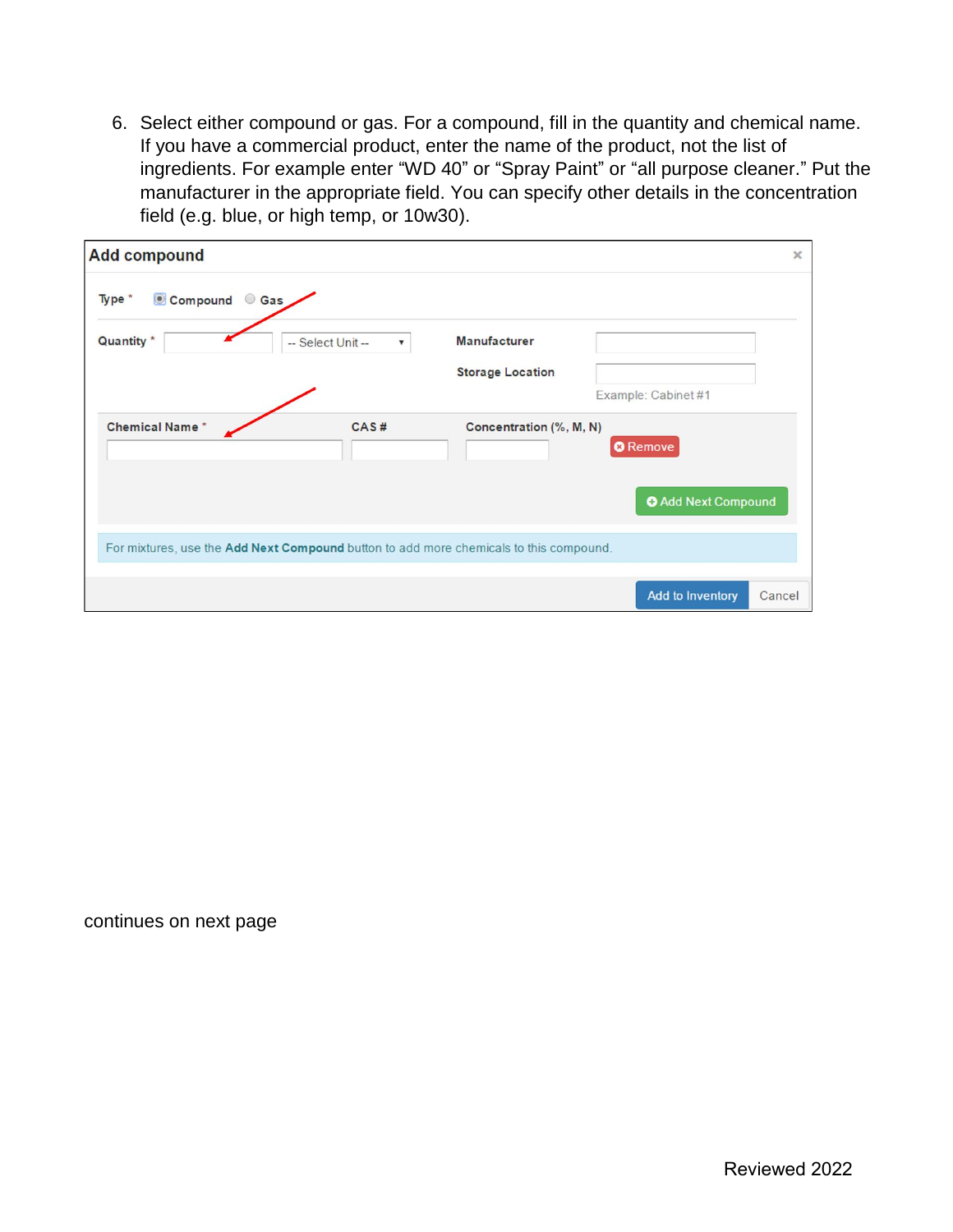6. Select either compound or gas. For a compound, fill in the quantity and chemical name. If you have a commercial product, enter the name of the product, not the list of ingredients. For example enter "WD 40" or "Spray Paint" or "all purpose cleaner." Put the manufacturer in the appropriate field. You can specify other details in the concentration field (e.g. blue, or high temp, or 10w30).

| <b>Add compound</b>                                                                    |                                                |                         |                 |                            | $\times$ |
|----------------------------------------------------------------------------------------|------------------------------------------------|-------------------------|-----------------|----------------------------|----------|
| Gas<br>Type *<br>Compound                                                              |                                                |                         |                 |                            |          |
| Quantity *                                                                             | -- Select Unit --<br>$\boldsymbol{\mathrm{v}}$ | <b>Manufacturer</b>     |                 |                            |          |
|                                                                                        |                                                | <b>Storage Location</b> |                 |                            |          |
|                                                                                        |                                                |                         |                 | Example: Cabinet #1        |          |
| <b>Chemical Name*</b>                                                                  | CAS#                                           | Concentration (%, M, N) | <b>O</b> Remove |                            |          |
|                                                                                        |                                                |                         |                 | <b>O</b> Add Next Compound |          |
| For mixtures, use the Add Next Compound button to add more chemicals to this compound. |                                                |                         |                 |                            |          |
|                                                                                        |                                                |                         |                 | Add to Inventory           | Cancel   |

continues on next page